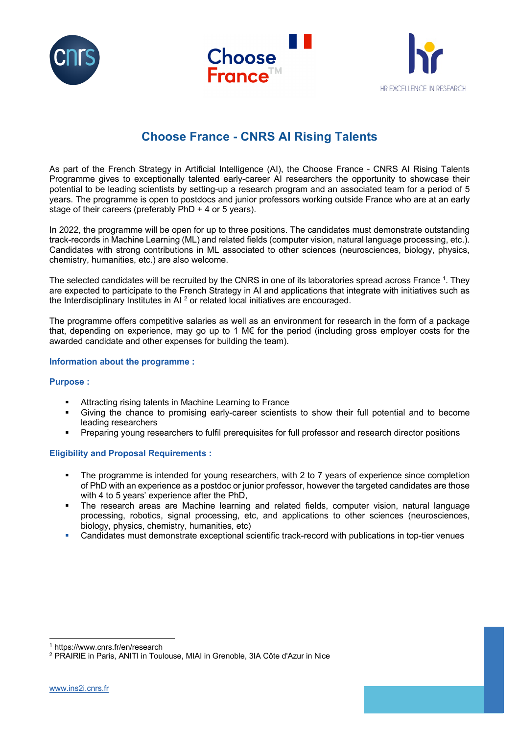





# **Choose France - CNRS AI Rising Talents**

As part of the French Strategy in Artificial Intelligence (AI), the Choose France - CNRS AI Rising Talents Programme gives to exceptionally talented early-career AI researchers the opportunity to showcase their potential to be leading scientists by setting-up a research program and an associated team for a period of 5 years. The programme is open to postdocs and junior professors working outside France who are at an early stage of their careers (preferably PhD + 4 or 5 years).

In 2022, the programme will be open for up to three positions. The candidates must demonstrate outstanding track-records in Machine Learning (ML) and related fields (computer vision, natural language processing, etc.). Candidates with strong contributions in ML associated to other sciences (neurosciences, biology, physics, chemistry, humanities, etc.) are also welcome.

The selected candidates will be recruited by the CNRS in one of its laboratories spread across France 1. They are expected to participate to the French Strategy in AI and applications that integrate with initiatives such as the Interdisciplinary Institutes in AI<sup>2</sup> or related local initiatives are encouraged.

The programme offers competitive salaries as well as an environment for research in the form of a package that, depending on experience, may go up to 1 M€ for the period (including gross employer costs for the awarded candidate and other expenses for building the team).

## **Information about the programme :**

# **Purpose :**

- Attracting rising talents in Machine Learning to France
- § Giving the chance to promising early-career scientists to show their full potential and to become leading researchers
- Preparing young researchers to fulfil prerequisites for full professor and research director positions

# **Eligibility and Proposal Requirements :**

- The programme is intended for young researchers, with 2 to 7 years of experience since completion of PhD with an experience as a postdoc or junior professor, however the targeted candidates are those with 4 to 5 years' experience after the PhD,
- § The research areas are Machine learning and related fields, computer vision, natural language processing, robotics, signal processing, etc, and applications to other sciences (neurosciences, biology, physics, chemistry, humanities, etc)
- § Candidates must demonstrate exceptional scientific track-record with publications in top-tier venues

<sup>1</sup> https://www.cnrs.fr/en/research

<sup>2</sup> PRAIRIE in Paris, ANITI in Toulouse, MIAI in Grenoble, 3IA Côte d'Azur in Nice